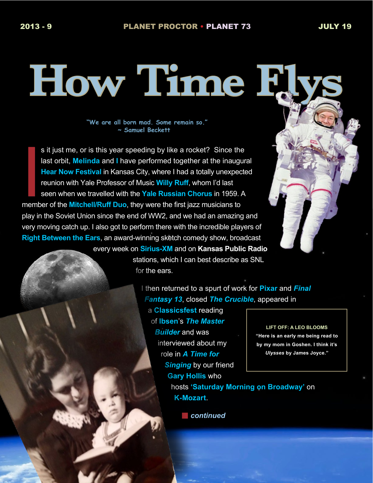# **How Time Flys**

**"We are all born mad. Some remain so." ~ Samuel Beckett** 

**I**<br>I<br>Imemb s it just me, or is this year speeding by like a rocket? Since the last orbit, **Melinda** and **I** have performed together at the inaugural **Hear Now Festival** in Kansas City, where I had a totally unexpected reunion with Yale Professor of Music **Willy Ruff**, whom I'd last seen when we travelled with the **Yale Russian Chorus** in 1959. A member of the **Mitchell/Ruff Duo**, they were the first jazz musicians to play in the Soviet Union since the end of WW2, and we had an amazing and very moving catch up. I also got to perform there with the incredible players of **Right Between the Ears**, an award-winning sketch comedy show, broadcast every week on **Sirius-XM** and on **Kansas Public Radio** 

stations, which I can best describe as SNL for the ears.

> I then returned to a spurt of work for **Pixar** and *Final Fantasy 13*, closed *The Crucible*, appeared in

a **Classicsfest** reading of **Ibsen**'s *The Master Builder* and was interviewed about my role in *A Time for Singing* by our friend **Gary Hollis** who

**LIFT OFF: A LEO BLOOMS "Here is an early me being read to by my mom in Goshen. I think it's**  *Ulysses* **by James Joyce."**

hosts **'Saturday Morning on Broadway'** on **K-Mozart**.

**n** continued

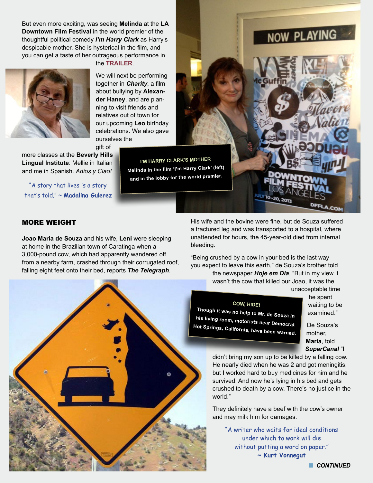But even more exciting, was seeing **Melinda** at the **LA Downtown Film Festival** in the world premier of the thoughtful political comedy *I'm Harry Clark* as Harry's despicable mother. She is hysterical in the film, and you can get a taste of her outrageous performance in



the **[TRAILER](https://vimeo.com/70260676)**.

We will next be performing together in *Charity*, a film about bullying by **Alexander Haney**, and are planning to visit friends and relatives out of town for our upcoming **Leo** birthday celebrations. We also gave ourselves the gift of

more classes at the **Beverly Hills Lingual Institute**: Mellie in Italian and me in Spanish. *Adios y Ciao!*

"A story that lives is a story that's told." ~ **Madalina Gulerez**

**I'M HARRY CLARK'S MOTHER Melinda in the film 'I'm Harry Clark' (left) and in the lobby for the world premier.**



RED TYPE OPENS A RELATION INTERNET LINK.

# More WEIGht

**Joao Maria de Souza** and his wife, **Leni** were sleeping at home in the Brazilian town of Caratinga when a 3,000-pound cow, which had apparently wandered off from a nearby farm, crashed through their corrugated roof, falling eight feet onto their bed, reports *The Telegraph*.

His wife and the bovine were fine, but de Souza suffered a fractured leg and was transported to a hospital, where unattended for hours, the 45-year-old died from internal bleeding.

JULY 10-20, 201

"Being crushed by a cow in your bed is the last way you expect to leave this earth," de Souza's brother told the newspaper *Hoje em Dia*, "But in my view it

wasn't the cow that killed our Joao, it was the unacceptable time

### **COW, HIDE!**

**Though it was no help to Mr. de Souza in his living room, motorists near Democrat Hot Springs, California, have been warned.**

he spent waiting to be examined."

CON

De Souza's mother, **Maria**, told *SuperCanal* "I

didn't bring my son up to be killed by a falling cow. He nearly died when he was 2 and got meningitis, but I worked hard to buy medicines for him and he survived. And now he's lying in his bed and gets crushed to death by a cow. There's no justice in the world."

They definitely have a beef with the cow's owner and may milk him for damages.

"A writer who waits for ideal conditions under which to work will die without putting a word on paper." **~ Kurt Vonnegut**

**n** CONTINUED

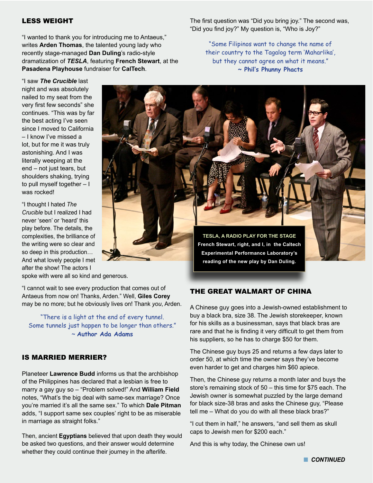### LESS WEIGHT

"I wanted to thank you for introducing me to Antaeus," writes **Arden Thomas**, the talented young lady who recently stage-managed **Dan Duling**'s radio-style dramatization of *TESLA*, featuring **French Stewart**, at the **Pasadena Playhouse** fundraiser for **CalTech**.

"I saw *The Crucible* last night and was absolutely nailed to my seat from the very first few seconds" she continues. "This was by far the best acting I've seen since I moved to California – I know I've missed a lot, but for me it was truly astonishing. And I was literally weeping at the end – not just tears, but shoulders shaking, trying to pull myself together – I was rocked!

"I thought I hated *The Crucible* but I realized I had never 'seen' or 'heard' this play before. The details, the complexities, the brilliance of the writing were so clear and so deep in this production… And what lovely people I met after the show! The actors I

spoke with were all so kind and generous.

"I cannot wait to see every production that comes out of Antaeus from now on! Thanks, Arden." Well, **Giles Corey**  may be no more; but he obviously lives on! Thank *you*, Arden.

"There is a light at the end of every tunnel. Some tunnels just happen to be longer than others." ~ **Author Ada Adams**

### IS MARRIED MERRIER?

Planeteer **Lawrence Budd** informs us that the archbishop of the Philippines has declared that a lesbian is free to marry a gay guy so – "Problem solved!" And **William Field** notes, "What's the big deal with same-sex marriage? Once you're married it's all the same sex." To which **Dale Pitman** adds, "I support same sex couples' right to be as miserable in marriage as straight folks."

Then, ancient **Egyptians** believed that upon death they would be asked two questions, and their answer would determine whether they could continue their journey in the afterlife.

The first question was "Did you bring joy." The second was, "Did you find joy?" My question is, "Who is Joy?"

"Some Filipinos want to change the name of their country to the Tagalog term 'Maharlika', but they cannot agree on what it means." **~ Phil's Phunny Phacts**

**TESLA, A RADIO PLAY FOR THE STAGE French Stewart, right, and I, in the Caltech Experimental Performance Laboratory's reading of the new play by Dan Duling.** 

### THE GREAT WALMART OF CHINA

A Chinese guy goes into a Jewish-owned establishment to buy a black bra, size 38. The Jewish storekeeper, known for his skills as a businessman, says that black bras are rare and that he is finding it very difficult to get them from his suppliers, so he has to charge \$50 for them.

The Chinese guy buys 25 and returns a few days later to order 50, at which time the owner says they've become even harder to get and charges him \$60 apiece.

Then, the Chinese guy returns a month later and buys the store's remaining stock of 50 – this time for \$75 each. The Jewish owner is somewhat puzzled by the large demand for black size-38 bras and asks the Chinese guy, "Please tell me – What do you do with all these black bras?"

"I cut them in half," he answers, "and sell them as skull caps to Jewish men for \$200 each."

And this is why today, the Chinese own us!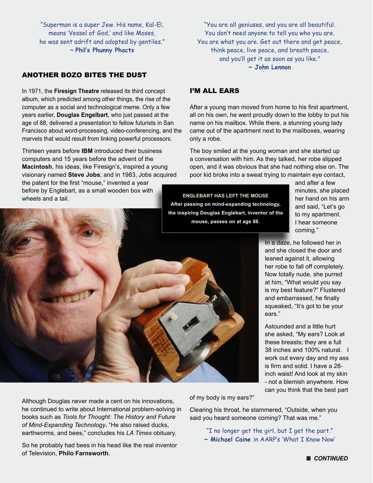"Superman is a super Jew. His name, Kal-El, means 'Vessel of God,' and like Moses, he was sent adrift and adopted by gentiles." ~ **Phil's Phunny Phacts**

### ANOTHER BOZO BITES THE DUST

In 1971, the **Firesign Theatre** released its third concept album, which predicted among other things, the rise of the computer as a social and technological meme. Only a few years earlier, **Douglas Engelbart**, who just passed at the age of 88, delivered a presentation to fellow futurists in San Francisco about word-processing, video-conferencing, and the marvels that would result from linking powerful processors.

Thirteen years before **IBM** introduced their business computers and 15 years before the advent of the **Macintosh**, his ideas, like Firesign's, inspired a young visionary named **Steve Jobs**; and in 1983, Jobs acquired the patent for the first "mouse," invented a year before by Englebart, as a small wooden box with wheels and a tail.

"You are all geniuses, and you are all beautiful. You don't need anyone to tell you who you are. You are what you are. Get out there and get peace, think peace, live peace, and breath peace, and you'll get it as soon as you like." **~ John Lennon**

### I'm all ears

After a young man moved from home to his first apartment, all on his own, he went proudly down to the lobby to put his name on his mailbox. While there, a stunning young lady came out of the apartment next to the mailboxes, wearing only a robe.

The boy smiled at the young woman and she started up a conversation with him. As they talked, her robe slipped open, and it was obvious that she had nothing else on. The poor kid broke into a sweat trying to maintain eye contact,

### **ENGLEBART HAS LEFT THE MOUSE**

**After passing on mind-expanding technology, the inspiring Douglas Englebart, inventor of the mouse, passes on at age 88.**

and after a few minutes, she placed her hand on his arm and said, "Let's go to my apartment. I hear someone coming."

In a daze, he followed her in and she closed the door and leaned against it, allowing her robe to fall off completely. Now totally nude, she purred at him, "What would you say is my best feature?" Flustered and embarrassed, he finally squeaked, "It's got to be your ears."

Astounded and a little hurt she asked, "My ears? Look at these breasts; they are a full 38 inches and 100% natural. I work out every day and my ass is firm and solid. I have a 28 inch waist! And look at my skin - not a blemish anywhere. How can you think that the best part

Although Douglas never made a cent on his innovations, he continued to write about International problem-solving in books such as *Tools for Thought: The History and Future of Mind-Expanding Technology***.** "He also raised ducks, earthworms, and bees," concludes his *LA Times* obituary.

So he probably had bees in his head like the real inventor of Television, **Philo Farnsworth**.

of my body is my ears?"

Clearing his throat, he stammered, "Outside, when you said you heard someone coming? That was me."

"I no longer get the girl, but I get the part." **~ Michael Caine** in AARP's 'What I Know Now'

**n** CONTINUED

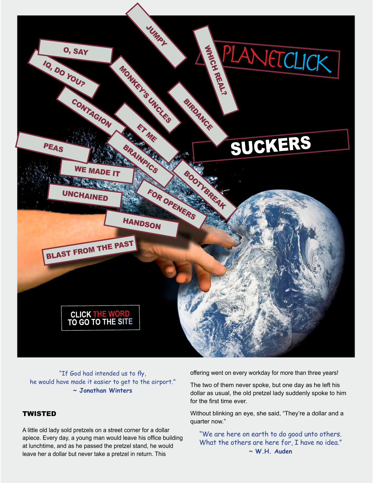

"If God had intended us to fly, he would have made it easier to get to the airport." **~ Jonathan Winters**

## **TWISTED**

A little old lady sold pretzels on a street corner for a dollar apiece. Every day, a young man would leave his office building at lunchtime, and as he passed the pretzel stand, he would leave her a dollar but never take a pretzel in return. This

offering went on every workday for more than three years!

The two of them never spoke, but one day as he left his dollar as usual, the old pretzel lady suddenly spoke to him for the first time ever.

Without blinking an eye, she said, "They're a dollar and a quarter now."

"We are here on earth to do good unto others. What the others are here for, I have no idea." **~ W.H. Auden**